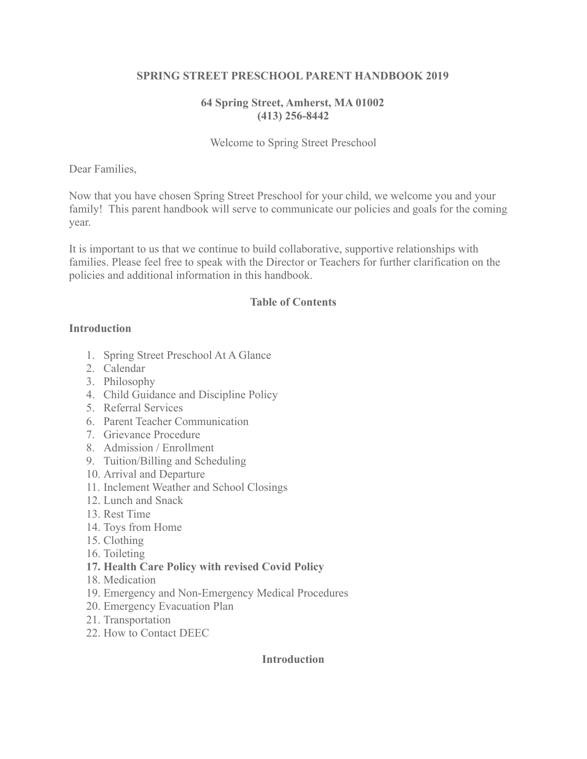#### **SPRING STREET PRESCHOOL PARENT HANDBOOK 2019**

### **64 Spring Street, Amherst, MA 01002 (413) 256-8442**

### Welcome to Spring Street Preschool

#### Dear Families,

Now that you have chosen Spring Street Preschool for your child, we welcome you and your family! This parent handbook will serve to communicate our policies and goals for the coming year.

It is important to us that we continue to build collaborative, supportive relationships with families. Please feel free to speak with the Director or Teachers for further clarification on the policies and additional information in this handbook.

#### **Table of Contents**

#### **Introduction**

- 1. Spring Street Preschool At A Glance
- 2. Calendar
- 3. Philosophy
- 4. Child Guidance and Discipline Policy
- 5. Referral Services
- 6. Parent Teacher Communication
- 7. Grievance Procedure
- 8. Admission / Enrollment
- 9. Tuition/Billing and Scheduling
- 10. Arrival and Departure
- 11. Inclement Weather and School Closings
- 12. Lunch and Snack
- 13. Rest Time
- 14. Toys from Home
- 15. Clothing
- 16. Toileting
- **17. Health Care Policy with revised Covid Policy**
- 18. Medication
- 19. Emergency and Non-Emergency Medical Procedures
- 20. Emergency Evacuation Plan
- 21. Transportation
- 22. How to Contact DEEC

#### **Introduction**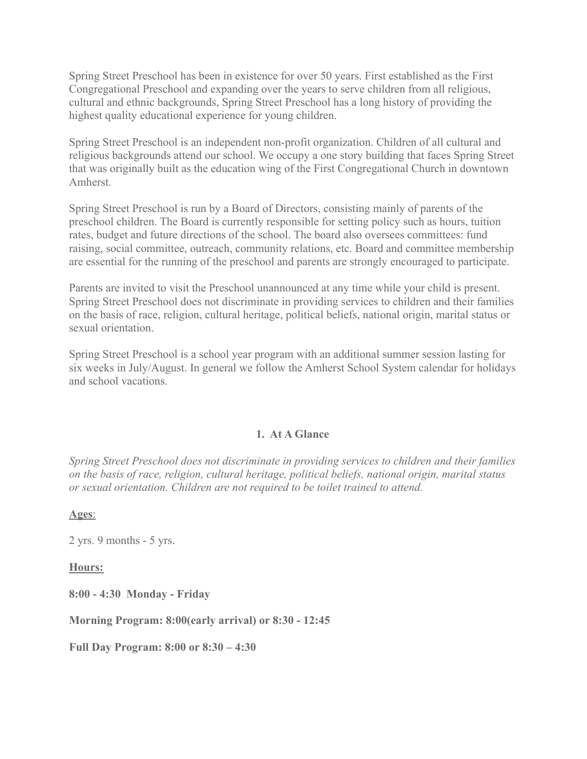Spring Street Preschool has been in existence for over 50 years. First established as the First Congregational Preschool and expanding over the years to serve children from all religious, cultural and ethnic backgrounds, Spring Street Preschool has a long history of providing the highest quality educational experience for young children.

Spring Street Preschool is an independent non-profit organization. Children of all cultural and religious backgrounds attend our school. We occupy a one story building that faces Spring Street that was originally built as the education wing of the First Congregational Church in downtown Amherst.

Spring Street Preschool is run by a Board of Directors, consisting mainly of parents of the preschool children. The Board is currently responsible for setting policy such as hours, tuition rates, budget and future directions of the school. The board also oversees committees: fund raising, social committee, outreach, community relations, etc. Board and committee membership are essential for the running of the preschool and parents are strongly encouraged to participate.

Parents are invited to visit the Preschool unannounced at any time while your child is present. Spring Street Preschool does not discriminate in providing services to children and their families on the basis of race, religion, cultural heritage, political beliefs, national origin, marital status or sexual orientation.

Spring Street Preschool is a school year program with an additional summer session lasting for six weeks in July/August. In general we follow the Amherst School System calendar for holidays and school vacations.

#### **1. At A Glance**

*Spring Street Preschool does not discriminate in providing services to children and their families on the basis of race, religion, cultural heritage, political beliefs, national origin, marital status or sexual orientation. Children are not required to be toilet trained to attend.*

**Ages**:

2 yrs. 9 months - 5 yrs.

**Hours:**

**8:00 - 4:30 Monday - Friday**

**Morning Program: 8:00(early arrival) or 8:30 - 12:45**

**Full Day Program: 8:00 or 8:30 – 4:30**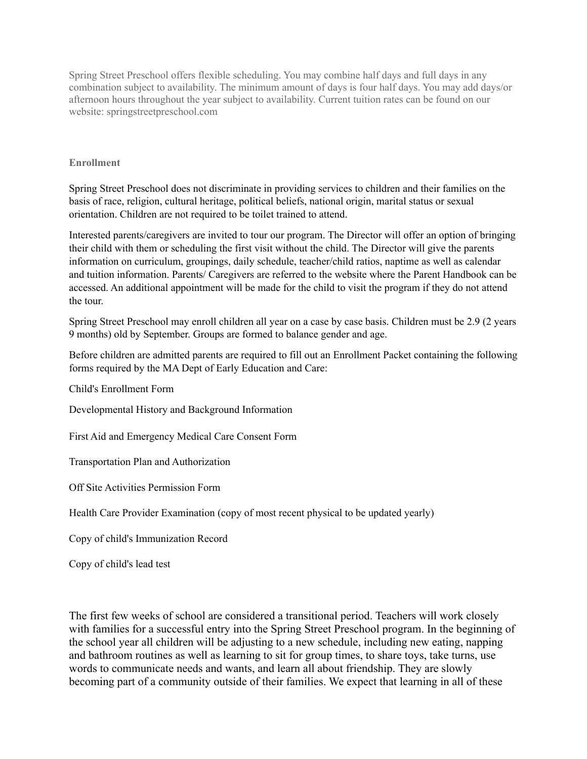Spring Street Preschool offers flexible scheduling. You may combine half days and full days in any combination subject to availability. The minimum amount of days is four half days. You may add days/or afternoon hours throughout the year subject to availability. Current tuition rates can be found on our website: springstreetpreschool.com

#### **Enrollment**

Spring Street Preschool does not discriminate in providing services to children and their families on the basis of race, religion, cultural heritage, political beliefs, national origin, marital status or sexual orientation. Children are not required to be toilet trained to attend.

Interested parents/caregivers are invited to tour our program. The Director will offer an option of bringing their child with them or scheduling the first visit without the child. The Director will give the parents information on curriculum, groupings, daily schedule, teacher/child ratios, naptime as well as calendar and tuition information. Parents/ Caregivers are referred to the website where the Parent Handbook can be accessed. An additional appointment will be made for the child to visit the program if they do not attend the tour.

Spring Street Preschool may enroll children all year on a case by case basis. Children must be 2.9 (2 years 9 months) old by September. Groups are formed to balance gender and age.

Before children are admitted parents are required to fill out an Enrollment Packet containing the following forms required by the MA Dept of Early Education and Care:

Child's Enrollment Form

Developmental History and Background Information

First Aid and Emergency Medical Care Consent Form

Transportation Plan and Authorization

Off Site Activities Permission Form

Health Care Provider Examination (copy of most recent physical to be updated yearly)

Copy of child's Immunization Record

Copy of child's lead test

The first few weeks of school are considered a transitional period. Teachers will work closely with families for a successful entry into the Spring Street Preschool program. In the beginning of the school year all children will be adjusting to a new schedule, including new eating, napping and bathroom routines as well as learning to sit for group times, to share toys, take turns, use words to communicate needs and wants, and learn all about friendship. They are slowly becoming part of a community outside of their families. We expect that learning in all of these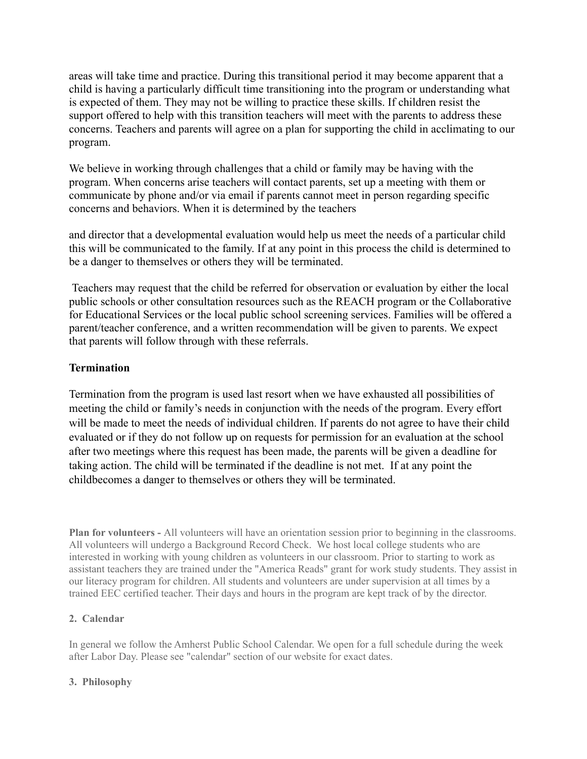areas will take time and practice. During this transitional period it may become apparent that a child is having a particularly difficult time transitioning into the program or understanding what is expected of them. They may not be willing to practice these skills. If children resist the support offered to help with this transition teachers will meet with the parents to address these concerns. Teachers and parents will agree on a plan for supporting the child in acclimating to our program.

We believe in working through challenges that a child or family may be having with the program. When concerns arise teachers will contact parents, set up a meeting with them or communicate by phone and/or via email if parents cannot meet in person regarding specific concerns and behaviors. When it is determined by the teachers

and director that a developmental evaluation would help us meet the needs of a particular child this will be communicated to the family. If at any point in this process the child is determined to be a danger to themselves or others they will be terminated.

Teachers may request that the child be referred for observation or evaluation by either the local public schools or other consultation resources such as the REACH program or the Collaborative for Educational Services or the local public school screening services. Families will be offered a parent/teacher conference, and a written recommendation will be given to parents. We expect that parents will follow through with these referrals.

#### **Termination**

Termination from the program is used last resort when we have exhausted all possibilities of meeting the child or family's needs in conjunction with the needs of the program. Every effort will be made to meet the needs of individual children. If parents do not agree to have their child evaluated or if they do not follow up on requests for permission for an evaluation at the school after two meetings where this request has been made, the parents will be given a deadline for taking action. The child will be terminated if the deadline is not met. If at any point the childbecomes a danger to themselves or others they will be terminated.

**Plan for volunteers -** All volunteers will have an orientation session prior to beginning in the classrooms. All volunteers will undergo a Background Record Check. We host local college students who are interested in working with young children as volunteers in our classroom. Prior to starting to work as assistant teachers they are trained under the "America Reads" grant for work study students. They assist in our literacy program for children. All students and volunteers are under supervision at all times by a trained EEC certified teacher. Their days and hours in the program are kept track of by the director.

#### **2. Calendar**

In general we follow the Amherst Public School Calendar. We open for a full schedule during the week after Labor Day. Please see "calendar" section of our website for exact dates.

#### **3. Philosophy**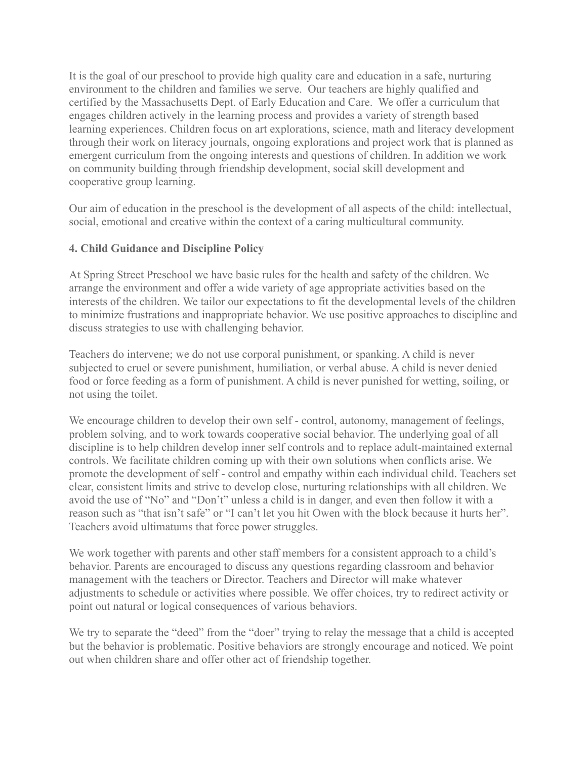It is the goal of our preschool to provide high quality care and education in a safe, nurturing environment to the children and families we serve. Our teachers are highly qualified and certified by the Massachusetts Dept. of Early Education and Care. We offer a curriculum that engages children actively in the learning process and provides a variety of strength based learning experiences. Children focus on art explorations, science, math and literacy development through their work on literacy journals, ongoing explorations and project work that is planned as emergent curriculum from the ongoing interests and questions of children. In addition we work on community building through friendship development, social skill development and cooperative group learning.

Our aim of education in the preschool is the development of all aspects of the child: intellectual, social, emotional and creative within the context of a caring multicultural community.

# **4. Child Guidance and Discipline Policy**

At Spring Street Preschool we have basic rules for the health and safety of the children. We arrange the environment and offer a wide variety of age appropriate activities based on the interests of the children. We tailor our expectations to fit the developmental levels of the children to minimize frustrations and inappropriate behavior. We use positive approaches to discipline and discuss strategies to use with challenging behavior.

Teachers do intervene; we do not use corporal punishment, or spanking. A child is never subjected to cruel or severe punishment, humiliation, or verbal abuse. A child is never denied food or force feeding as a form of punishment. A child is never punished for wetting, soiling, or not using the toilet.

We encourage children to develop their own self - control, autonomy, management of feelings, problem solving, and to work towards cooperative social behavior. The underlying goal of all discipline is to help children develop inner self controls and to replace adult-maintained external controls. We facilitate children coming up with their own solutions when conflicts arise. We promote the development of self - control and empathy within each individual child. Teachers set clear, consistent limits and strive to develop close, nurturing relationships with all children. We avoid the use of "No" and "Don't" unless a child is in danger, and even then follow it with a reason such as "that isn't safe" or "I can't let you hit Owen with the block because it hurts her". Teachers avoid ultimatums that force power struggles.

We work together with parents and other staff members for a consistent approach to a child's behavior. Parents are encouraged to discuss any questions regarding classroom and behavior management with the teachers or Director. Teachers and Director will make whatever adjustments to schedule or activities where possible. We offer choices, try to redirect activity or point out natural or logical consequences of various behaviors.

We try to separate the "deed" from the "doer" trying to relay the message that a child is accepted but the behavior is problematic. Positive behaviors are strongly encourage and noticed. We point out when children share and offer other act of friendship together.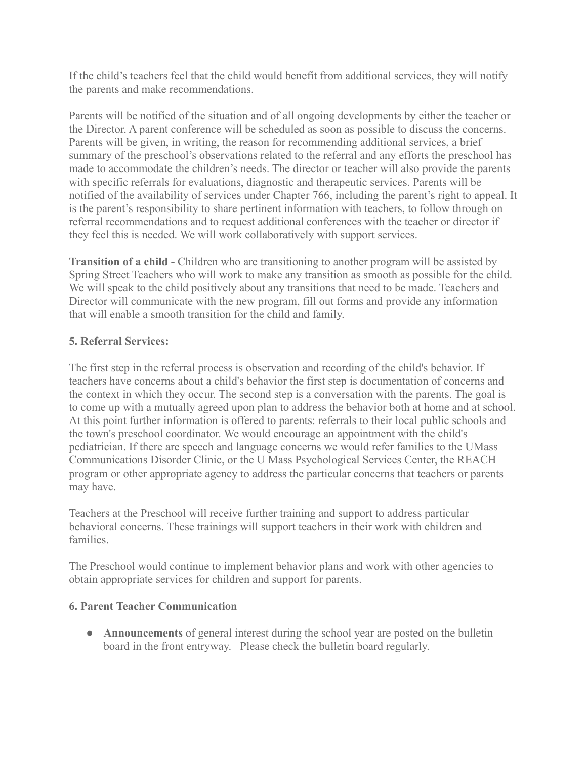If the child's teachers feel that the child would benefit from additional services, they will notify the parents and make recommendations.

Parents will be notified of the situation and of all ongoing developments by either the teacher or the Director. A parent conference will be scheduled as soon as possible to discuss the concerns. Parents will be given, in writing, the reason for recommending additional services, a brief summary of the preschool's observations related to the referral and any efforts the preschool has made to accommodate the children's needs. The director or teacher will also provide the parents with specific referrals for evaluations, diagnostic and therapeutic services. Parents will be notified of the availability of services under Chapter 766, including the parent's right to appeal. It is the parent's responsibility to share pertinent information with teachers, to follow through on referral recommendations and to request additional conferences with the teacher or director if they feel this is needed. We will work collaboratively with support services.

**Transition of a child -** Children who are transitioning to another program will be assisted by Spring Street Teachers who will work to make any transition as smooth as possible for the child. We will speak to the child positively about any transitions that need to be made. Teachers and Director will communicate with the new program, fill out forms and provide any information that will enable a smooth transition for the child and family.

# **5. Referral Services:**

The first step in the referral process is observation and recording of the child's behavior. If teachers have concerns about a child's behavior the first step is documentation of concerns and the context in which they occur. The second step is a conversation with the parents. The goal is to come up with a mutually agreed upon plan to address the behavior both at home and at school. At this point further information is offered to parents: referrals to their local public schools and the town's preschool coordinator. We would encourage an appointment with the child's pediatrician. If there are speech and language concerns we would refer families to the UMass Communications Disorder Clinic, or the U Mass Psychological Services Center, the REACH program or other appropriate agency to address the particular concerns that teachers or parents may have.

Teachers at the Preschool will receive further training and support to address particular behavioral concerns. These trainings will support teachers in their work with children and families.

The Preschool would continue to implement behavior plans and work with other agencies to obtain appropriate services for children and support for parents.

# **6. Parent Teacher Communication**

• **Announcements** of general interest during the school year are posted on the bulletin board in the front entryway. Please check the bulletin board regularly.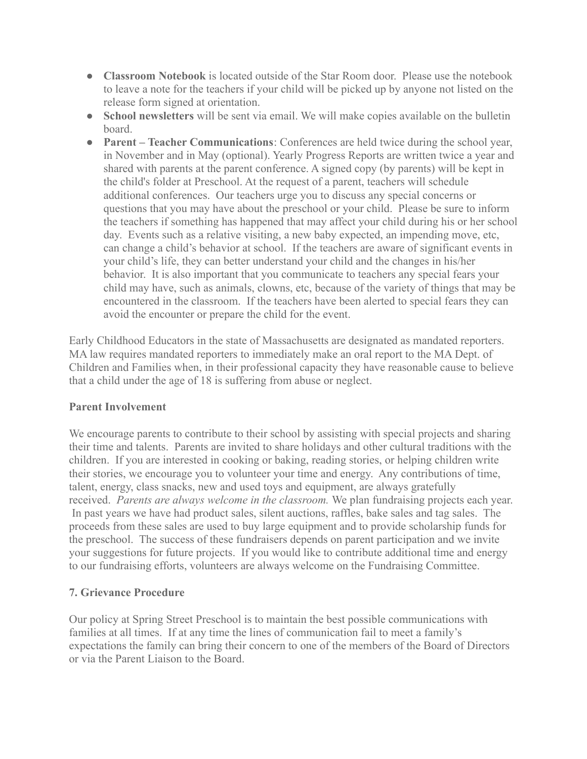- **Classroom Notebook** is located outside of the Star Room door. Please use the notebook to leave a note for the teachers if your child will be picked up by anyone not listed on the release form signed at orientation.
- **School newsletters** will be sent via email. We will make copies available on the bulletin board.
- **Parent Teacher Communications**: Conferences are held twice during the school year, in November and in May (optional). Yearly Progress Reports are written twice a year and shared with parents at the parent conference. A signed copy (by parents) will be kept in the child's folder at Preschool. At the request of a parent, teachers will schedule additional conferences. Our teachers urge you to discuss any special concerns or questions that you may have about the preschool or your child. Please be sure to inform the teachers if something has happened that may affect your child during his or her school day. Events such as a relative visiting, a new baby expected, an impending move, etc, can change a child's behavior at school. If the teachers are aware of significant events in your child's life, they can better understand your child and the changes in his/her behavior. It is also important that you communicate to teachers any special fears your child may have, such as animals, clowns, etc, because of the variety of things that may be encountered in the classroom. If the teachers have been alerted to special fears they can avoid the encounter or prepare the child for the event.

Early Childhood Educators in the state of Massachusetts are designated as mandated reporters. MA law requires mandated reporters to immediately make an oral report to the MA Dept. of Children and Families when, in their professional capacity they have reasonable cause to believe that a child under the age of 18 is suffering from abuse or neglect.

### **Parent Involvement**

We encourage parents to contribute to their school by assisting with special projects and sharing their time and talents. Parents are invited to share holidays and other cultural traditions with the children. If you are interested in cooking or baking, reading stories, or helping children write their stories, we encourage you to volunteer your time and energy. Any contributions of time, talent, energy, class snacks, new and used toys and equipment, are always gratefully received. *Parents are always welcome in the classroom.* We plan fundraising projects each year. In past years we have had product sales, silent auctions, raffles, bake sales and tag sales. The proceeds from these sales are used to buy large equipment and to provide scholarship funds for the preschool. The success of these fundraisers depends on parent participation and we invite your suggestions for future projects. If you would like to contribute additional time and energy to our fundraising efforts, volunteers are always welcome on the Fundraising Committee.

### **7. Grievance Procedure**

Our policy at Spring Street Preschool is to maintain the best possible communications with families at all times. If at any time the lines of communication fail to meet a family's expectations the family can bring their concern to one of the members of the Board of Directors or via the Parent Liaison to the Board.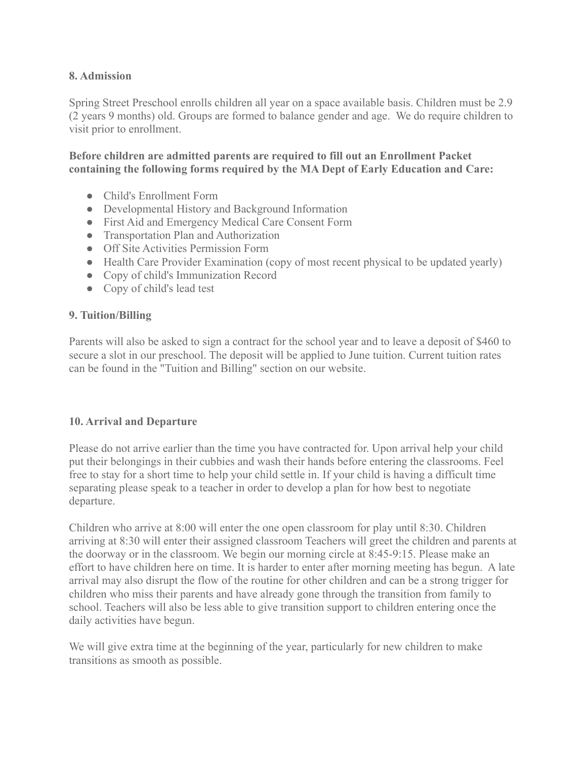### **8. Admission**

Spring Street Preschool enrolls children all year on a space available basis. Children must be 2.9 (2 years 9 months) old. Groups are formed to balance gender and age. We do require children to visit prior to enrollment.

### **Before children are admitted parents are required to fill out an Enrollment Packet containing the following forms required by the MA Dept of Early Education and Care:**

- Child's Enrollment Form
- Developmental History and Background Information
- First Aid and Emergency Medical Care Consent Form
- Transportation Plan and Authorization
- Off Site Activities Permission Form
- Health Care Provider Examination (copy of most recent physical to be updated yearly)
- Copy of child's Immunization Record
- Copy of child's lead test

#### **9. Tuition/Billing**

Parents will also be asked to sign a contract for the school year and to leave a deposit of \$460 to secure a slot in our preschool. The deposit will be applied to June tuition. Current tuition rates can be found in the "Tuition and Billing" section on our website.

### **10. Arrival and Departure**

Please do not arrive earlier than the time you have contracted for. Upon arrival help your child put their belongings in their cubbies and wash their hands before entering the classrooms. Feel free to stay for a short time to help your child settle in. If your child is having a difficult time separating please speak to a teacher in order to develop a plan for how best to negotiate departure.

Children who arrive at 8:00 will enter the one open classroom for play until 8:30. Children arriving at 8:30 will enter their assigned classroom Teachers will greet the children and parents at the doorway or in the classroom. We begin our morning circle at 8:45-9:15. Please make an effort to have children here on time. It is harder to enter after morning meeting has begun. A late arrival may also disrupt the flow of the routine for other children and can be a strong trigger for children who miss their parents and have already gone through the transition from family to school. Teachers will also be less able to give transition support to children entering once the daily activities have begun.

We will give extra time at the beginning of the year, particularly for new children to make transitions as smooth as possible.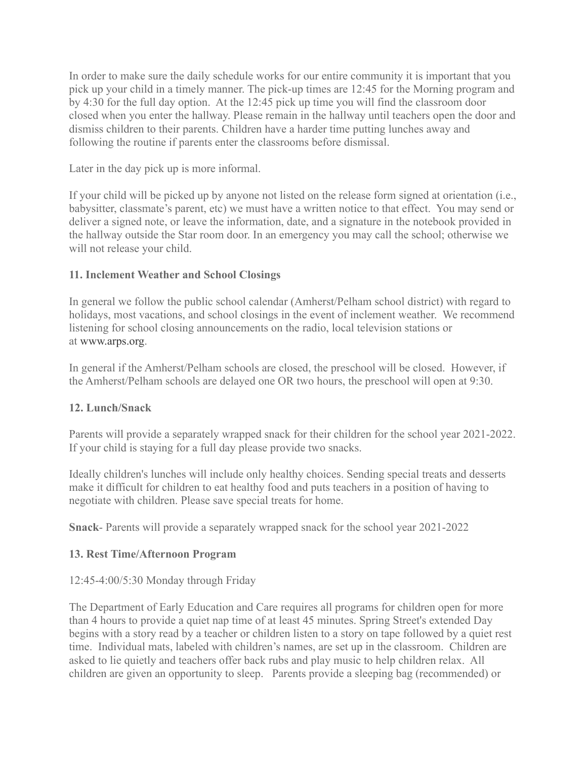In order to make sure the daily schedule works for our entire community it is important that you pick up your child in a timely manner. The pick-up times are 12:45 for the Morning program and by 4:30 for the full day option. At the 12:45 pick up time you will find the classroom door closed when you enter the hallway. Please remain in the hallway until teachers open the door and dismiss children to their parents. Children have a harder time putting lunches away and following the routine if parents enter the classrooms before dismissal.

Later in the day pick up is more informal.

If your child will be picked up by anyone not listed on the release form signed at orientation (i.e., babysitter, classmate's parent, etc) we must have a written notice to that effect. You may send or deliver a signed note, or leave the information, date, and a signature in the notebook provided in the hallway outside the Star room door. In an emergency you may call the school; otherwise we will not release your child.

### **11. Inclement Weather and School Closings**

In general we follow the public school calendar (Amherst/Pelham school district) with regard to holidays, most vacations, and school closings in the event of inclement weather. We recommend listening for school closing announcements on the radio, local television stations or at [www.arps.org.](http://www.arps.org/)

In general if the Amherst/Pelham schools are closed, the preschool will be closed. However, if the Amherst/Pelham schools are delayed one OR two hours, the preschool will open at 9:30.

# **12. Lunch/Snack**

Parents will provide a separately wrapped snack for their children for the school year 2021-2022. If your child is staying for a full day please provide two snacks.

Ideally children's lunches will include only healthy choices. Sending special treats and desserts make it difficult for children to eat healthy food and puts teachers in a position of having to negotiate with children. Please save special treats for home.

**Snack**- Parents will provide a separately wrapped snack for the school year 2021-2022

# **13. Rest Time/Afternoon Program**

# 12:45-4:00/5:30 Monday through Friday

The Department of Early Education and Care requires all programs for children open for more than 4 hours to provide a quiet nap time of at least 45 minutes. Spring Street's extended Day begins with a story read by a teacher or children listen to a story on tape followed by a quiet rest time. Individual mats, labeled with children's names, are set up in the classroom. Children are asked to lie quietly and teachers offer back rubs and play music to help children relax. All children are given an opportunity to sleep. Parents provide a sleeping bag (recommended) or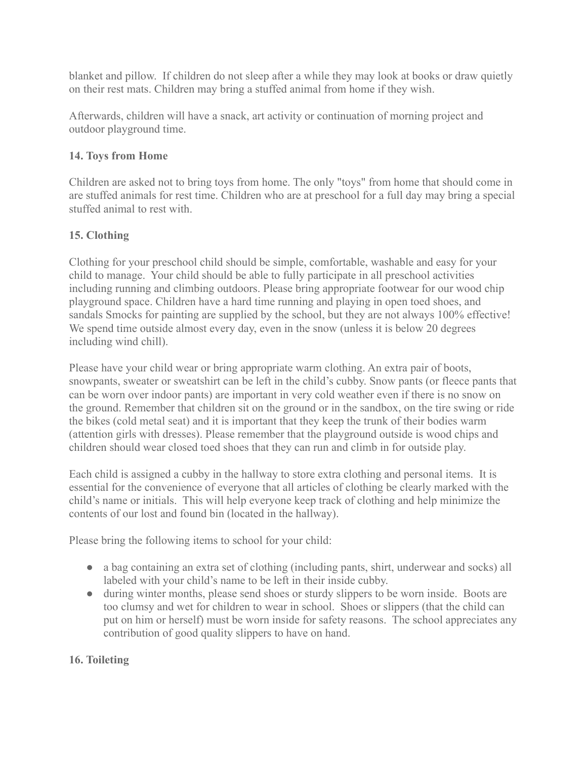blanket and pillow. If children do not sleep after a while they may look at books or draw quietly on their rest mats. Children may bring a stuffed animal from home if they wish.

Afterwards, children will have a snack, art activity or continuation of morning project and outdoor playground time.

# **14. Toys from Home**

Children are asked not to bring toys from home. The only "toys" from home that should come in are stuffed animals for rest time. Children who are at preschool for a full day may bring a special stuffed animal to rest with.

# **15. Clothing**

Clothing for your preschool child should be simple, comfortable, washable and easy for your child to manage. Your child should be able to fully participate in all preschool activities including running and climbing outdoors. Please bring appropriate footwear for our wood chip playground space. Children have a hard time running and playing in open toed shoes, and sandals Smocks for painting are supplied by the school, but they are not always 100% effective! We spend time outside almost every day, even in the snow (unless it is below 20 degrees including wind chill).

Please have your child wear or bring appropriate warm clothing. An extra pair of boots, snowpants, sweater or sweatshirt can be left in the child's cubby. Snow pants (or fleece pants that can be worn over indoor pants) are important in very cold weather even if there is no snow on the ground. Remember that children sit on the ground or in the sandbox, on the tire swing or ride the bikes (cold metal seat) and it is important that they keep the trunk of their bodies warm (attention girls with dresses). Please remember that the playground outside is wood chips and children should wear closed toed shoes that they can run and climb in for outside play.

Each child is assigned a cubby in the hallway to store extra clothing and personal items. It is essential for the convenience of everyone that all articles of clothing be clearly marked with the child's name or initials. This will help everyone keep track of clothing and help minimize the contents of our lost and found bin (located in the hallway).

Please bring the following items to school for your child:

- a bag containing an extra set of clothing (including pants, shirt, underwear and socks) all labeled with your child's name to be left in their inside cubby.
- during winter months, please send shoes or sturdy slippers to be worn inside. Boots are too clumsy and wet for children to wear in school. Shoes or slippers (that the child can put on him or herself) must be worn inside for safety reasons. The school appreciates any contribution of good quality slippers to have on hand.

# **16. Toileting**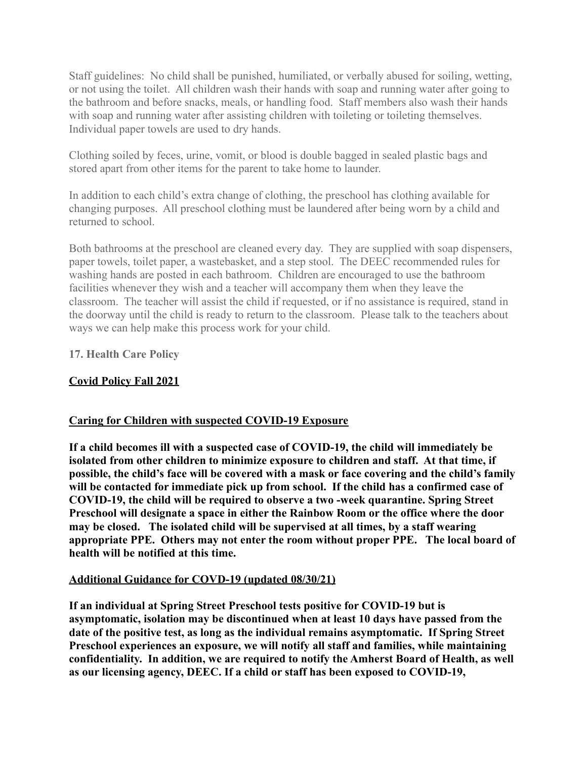Staff guidelines: No child shall be punished, humiliated, or verbally abused for soiling, wetting, or not using the toilet. All children wash their hands with soap and running water after going to the bathroom and before snacks, meals, or handling food. Staff members also wash their hands with soap and running water after assisting children with toileting or toileting themselves. Individual paper towels are used to dry hands.

Clothing soiled by feces, urine, vomit, or blood is double bagged in sealed plastic bags and stored apart from other items for the parent to take home to launder.

In addition to each child's extra change of clothing, the preschool has clothing available for changing purposes. All preschool clothing must be laundered after being worn by a child and returned to school.

Both bathrooms at the preschool are cleaned every day. They are supplied with soap dispensers, paper towels, toilet paper, a wastebasket, and a step stool. The DEEC recommended rules for washing hands are posted in each bathroom. Children are encouraged to use the bathroom facilities whenever they wish and a teacher will accompany them when they leave the classroom. The teacher will assist the child if requested, or if no assistance is required, stand in the doorway until the child is ready to return to the classroom. Please talk to the teachers about ways we can help make this process work for your child.

**17. Health Care Policy**

# **Covid Policy Fall 2021**

### **Caring for Children with suspected COVID-19 Exposure**

**If a child becomes ill with a suspected case of COVID-19, the child will immediately be isolated from other children to minimize exposure to children and staff. At that time, if possible, the child's face will be covered with a mask or face covering and the child's family will be contacted for immediate pick up from school. If the child has a confirmed case of COVID-19, the child will be required to observe a two -week quarantine. Spring Street Preschool will designate a space in either the Rainbow Room or the office where the door may be closed. The isolated child will be supervised at all times, by a staff wearing appropriate PPE. Others may not enter the room without proper PPE. The local board of health will be notified at this time.**

### **Additional Guidance for COVD-19 (updated 08/30/21)**

**If an individual at Spring Street Preschool tests positive for COVID-19 but is asymptomatic, isolation may be discontinued when at least 10 days have passed from the date of the positive test, as long as the individual remains asymptomatic. If Spring Street Preschool experiences an exposure, we will notify all staff and families, while maintaining confidentiality. In addition, we are required to notify the Amherst Board of Health, as well as our licensing agency, DEEC. If a child or staff has been exposed to COVID-19,**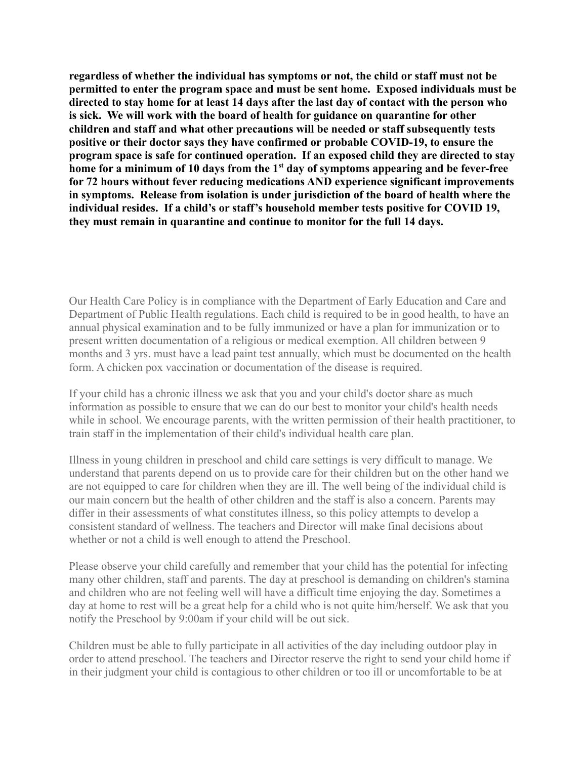**regardless of whether the individual has symptoms or not, the child or staff must not be permitted to enter the program space and must be sent home. Exposed individuals must be directed to stay home for at least 14 days after the last day of contact with the person who is sick. We will work with the board of health for guidance on quarantine for other children and staff and what other precautions will be needed or staff subsequently tests positive or their doctor says they have confirmed or probable COVID-19, to ensure the program space is safe for continued operation. If an exposed child they are directed to stay home for a minimum of 10 days from the 1st day of symptoms appearing and be fever-free for 72 hours without fever reducing medications AND experience significant improvements in symptoms. Release from isolation is under jurisdiction of the board of health where the individual resides. If a child's or staff's household member tests positive for COVID 19, they must remain in quarantine and continue to monitor for the full 14 days.**

Our Health Care Policy is in compliance with the Department of Early Education and Care and Department of Public Health regulations. Each child is required to be in good health, to have an annual physical examination and to be fully immunized or have a plan for immunization or to present written documentation of a religious or medical exemption. All children between 9 months and 3 yrs. must have a lead paint test annually, which must be documented on the health form. A chicken pox vaccination or documentation of the disease is required.

If your child has a chronic illness we ask that you and your child's doctor share as much information as possible to ensure that we can do our best to monitor your child's health needs while in school. We encourage parents, with the written permission of their health practitioner, to train staff in the implementation of their child's individual health care plan.

Illness in young children in preschool and child care settings is very difficult to manage. We understand that parents depend on us to provide care for their children but on the other hand we are not equipped to care for children when they are ill. The well being of the individual child is our main concern but the health of other children and the staff is also a concern. Parents may differ in their assessments of what constitutes illness, so this policy attempts to develop a consistent standard of wellness. The teachers and Director will make final decisions about whether or not a child is well enough to attend the Preschool.

Please observe your child carefully and remember that your child has the potential for infecting many other children, staff and parents. The day at preschool is demanding on children's stamina and children who are not feeling well will have a difficult time enjoying the day. Sometimes a day at home to rest will be a great help for a child who is not quite him/herself. We ask that you notify the Preschool by 9:00am if your child will be out sick.

Children must be able to fully participate in all activities of the day including outdoor play in order to attend preschool. The teachers and Director reserve the right to send your child home if in their judgment your child is contagious to other children or too ill or uncomfortable to be at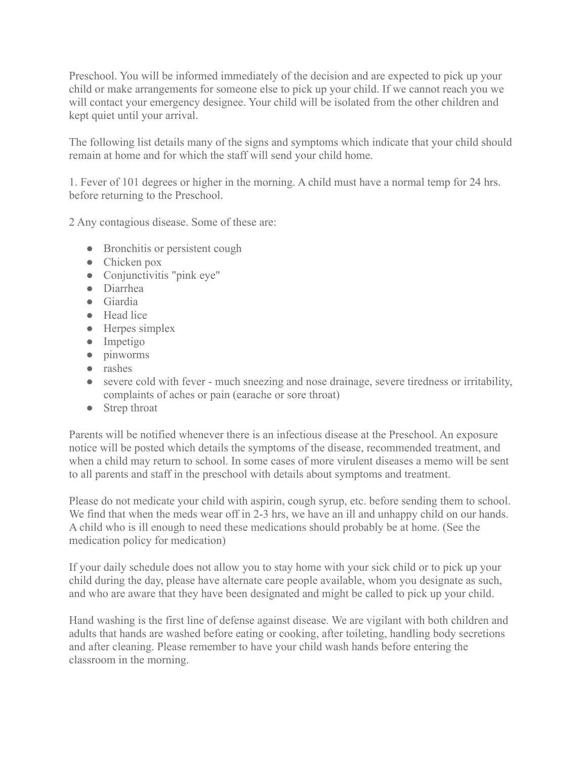Preschool. You will be informed immediately of the decision and are expected to pick up your child or make arrangements for someone else to pick up your child. If we cannot reach you we will contact your emergency designee. Your child will be isolated from the other children and kept quiet until your arrival.

The following list details many of the signs and symptoms which indicate that your child should remain at home and for which the staff will send your child home.

1. Fever of 101 degrees or higher in the morning. A child must have a normal temp for 24 hrs. before returning to the Preschool.

2 Any contagious disease. Some of these are:

- Bronchitis or persistent cough
- Chicken pox
- $\bullet$  Conjunctivitis "pink eye"
- Diarrhea
- Giardia
- Head lice
- Herpes simplex
- Impetigo
- pinworms
- rashes
- severe cold with fever much sneezing and nose drainage, severe tiredness or irritability, complaints of aches or pain (earache or sore throat)
- Strep throat

Parents will be notified whenever there is an infectious disease at the Preschool. An exposure notice will be posted which details the symptoms of the disease, recommended treatment, and when a child may return to school. In some cases of more virulent diseases a memo will be sent to all parents and staff in the preschool with details about symptoms and treatment.

Please do not medicate your child with aspirin, cough syrup, etc. before sending them to school. We find that when the meds wear off in 2-3 hrs, we have an ill and unhappy child on our hands. A child who is ill enough to need these medications should probably be at home. (See the medication policy for medication)

If your daily schedule does not allow you to stay home with your sick child or to pick up your child during the day, please have alternate care people available, whom you designate as such, and who are aware that they have been designated and might be called to pick up your child.

Hand washing is the first line of defense against disease. We are vigilant with both children and adults that hands are washed before eating or cooking, after toileting, handling body secretions and after cleaning. Please remember to have your child wash hands before entering the classroom in the morning.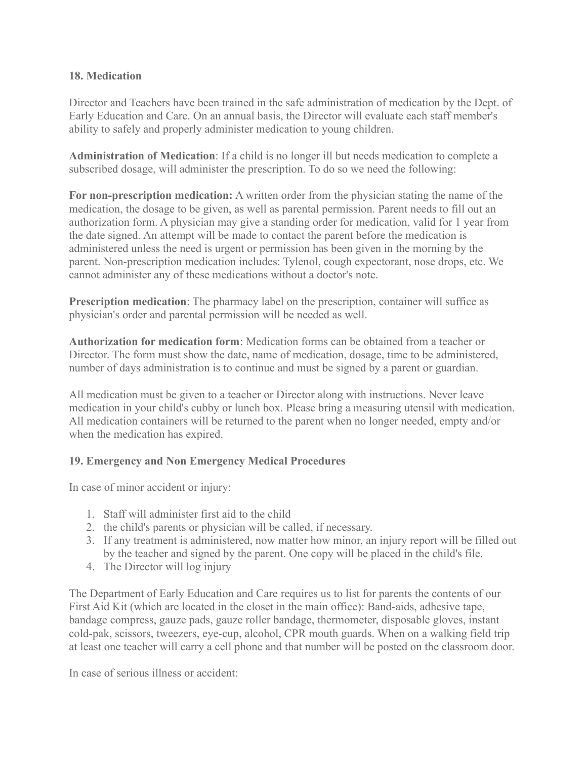### **18. Medication**

Director and Teachers have been trained in the safe administration of medication by the Dept. of Early Education and Care. On an annual basis, the Director will evaluate each staff member's ability to safely and properly administer medication to young children.

**Administration of Medication**: If a child is no longer ill but needs medication to complete a subscribed dosage, will administer the prescription. To do so we need the following:

**For non-prescription medication:** A written order from the physician stating the name of the medication, the dosage to be given, as well as parental permission. Parent needs to fill out an authorization form. A physician may give a standing order for medication, valid for 1 year from the date signed. An attempt will be made to contact the parent before the medication is administered unless the need is urgent or permission has been given in the morning by the parent. Non-prescription medication includes: Tylenol, cough expectorant, nose drops, etc. We cannot administer any of these medications without a doctor's note.

**Prescription medication**: The pharmacy label on the prescription, container will suffice as physician's order and parental permission will be needed as well.

**Authorization for medication form**: Medication forms can be obtained from a teacher or Director. The form must show the date, name of medication, dosage, time to be administered, number of days administration is to continue and must be signed by a parent or guardian.

All medication must be given to a teacher or Director along with instructions. Never leave medication in your child's cubby or lunch box. Please bring a measuring utensil with medication. All medication containers will be returned to the parent when no longer needed, empty and/or when the medication has expired.

# **19. Emergency and Non Emergency Medical Procedures**

In case of minor accident or injury:

- 1. Staff will administer first aid to the child
- 2. the child's parents or physician will be called, if necessary.
- 3. If any treatment is administered, now matter how minor, an injury report will be filled out by the teacher and signed by the parent. One copy will be placed in the child's file.
- 4. The Director will log injury

The Department of Early Education and Care requires us to list for parents the contents of our First Aid Kit (which are located in the closet in the main office): Band-aids, adhesive tape, bandage compress, gauze pads, gauze roller bandage, thermometer, disposable gloves, instant cold-pak, scissors, tweezers, eye-cup, alcohol, CPR mouth guards. When on a walking field trip at least one teacher will carry a cell phone and that number will be posted on the classroom door.

In case of serious illness or accident: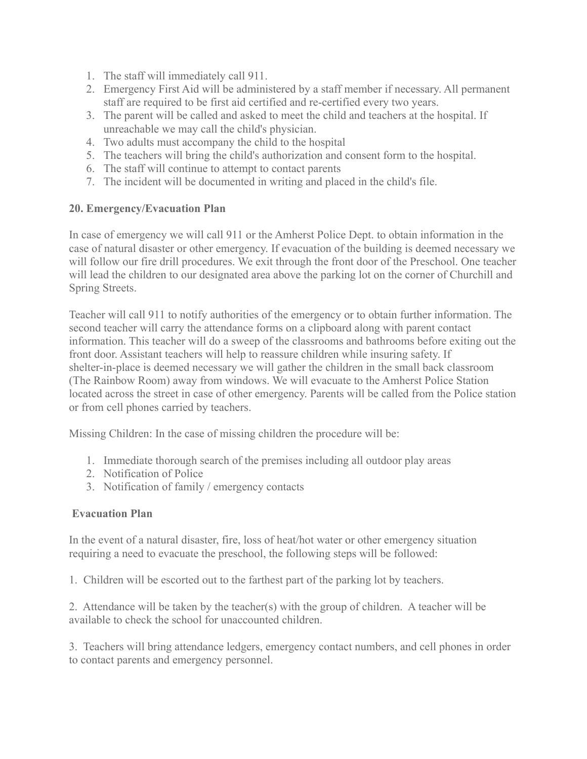- 1. The staff will immediately call 911.
- 2. Emergency First Aid will be administered by a staff member if necessary. All permanent staff are required to be first aid certified and re-certified every two years.
- 3. The parent will be called and asked to meet the child and teachers at the hospital. If unreachable we may call the child's physician.
- 4. Two adults must accompany the child to the hospital
- 5. The teachers will bring the child's authorization and consent form to the hospital.
- 6. The staff will continue to attempt to contact parents
- 7. The incident will be documented in writing and placed in the child's file.

### **20. Emergency/Evacuation Plan**

In case of emergency we will call 911 or the Amherst Police Dept. to obtain information in the case of natural disaster or other emergency. If evacuation of the building is deemed necessary we will follow our fire drill procedures. We exit through the front door of the Preschool. One teacher will lead the children to our designated area above the parking lot on the corner of Churchill and Spring Streets.

Teacher will call 911 to notify authorities of the emergency or to obtain further information. The second teacher will carry the attendance forms on a clipboard along with parent contact information. This teacher will do a sweep of the classrooms and bathrooms before exiting out the front door. Assistant teachers will help to reassure children while insuring safety. If shelter-in-place is deemed necessary we will gather the children in the small back classroom (The Rainbow Room) away from windows. We will evacuate to the Amherst Police Station located across the street in case of other emergency. Parents will be called from the Police station or from cell phones carried by teachers.

Missing Children: In the case of missing children the procedure will be:

- 1. Immediate thorough search of the premises including all outdoor play areas
- 2. Notification of Police
- 3. Notification of family / emergency contacts

# **Evacuation Plan**

In the event of a natural disaster, fire, loss of heat/hot water or other emergency situation requiring a need to evacuate the preschool, the following steps will be followed:

1. Children will be escorted out to the farthest part of the parking lot by teachers.

2. Attendance will be taken by the teacher(s) with the group of children. A teacher will be available to check the school for unaccounted children.

3. Teachers will bring attendance ledgers, emergency contact numbers, and cell phones in order to contact parents and emergency personnel.